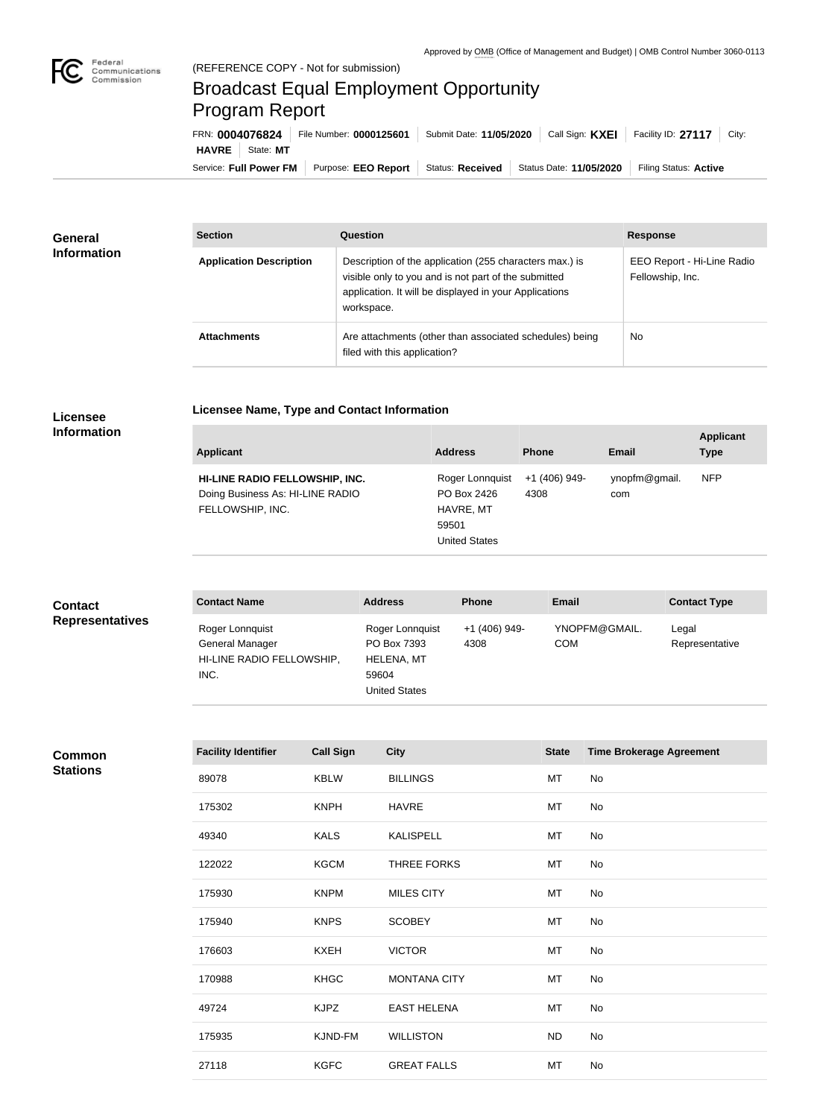

## Broadcast Equal Employment Opportunity Program Report

Service: Full Power FM Purpose: EEO Report | Status: Received | Status Date: 11/05/2020 | Filing Status: Active **HAVRE** | State: MT FRN: **0004076824** File Number: **0000125601** Submit Date: **11/05/2020** Call Sign: **KXEI** Facility ID: **27117** City:

| General<br><b>Information</b> | <b>Section</b>                 | <b>Question</b>                                                                                                                                                                         | <b>Response</b>                                |
|-------------------------------|--------------------------------|-----------------------------------------------------------------------------------------------------------------------------------------------------------------------------------------|------------------------------------------------|
|                               | <b>Application Description</b> | Description of the application (255 characters max.) is<br>visible only to you and is not part of the submitted<br>application. It will be displayed in your Applications<br>workspace. | EEO Report - Hi-Line Radio<br>Fellowship, Inc. |
|                               | <b>Attachments</b>             | Are attachments (other than associated schedules) being<br>filed with this application?                                                                                                 | No                                             |

## **Licensee**

**Licensee Name, Type and Contact Information**

| <b>Applicant</b>                                                                       | <b>Address</b>                                                               | <b>Phone</b>          | Email                | <b>Applicant</b><br><b>Type</b> |
|----------------------------------------------------------------------------------------|------------------------------------------------------------------------------|-----------------------|----------------------|---------------------------------|
| HI-LINE RADIO FELLOWSHIP, INC.<br>Doing Business As: HI-LINE RADIO<br>FELLOWSHIP, INC. | Roger Lonnquist<br>PO Box 2426<br>HAVRE, MT<br>59501<br><b>United States</b> | +1 (406) 949-<br>4308 | ynopfm@gmail.<br>com | <b>NFP</b>                      |

| <b>Contact</b>         | <b>Contact Name</b>                                                     | <b>Address</b>                                                                       | <b>Phone</b>          | <b>Email</b>                | <b>Contact Type</b>     |
|------------------------|-------------------------------------------------------------------------|--------------------------------------------------------------------------------------|-----------------------|-----------------------------|-------------------------|
| <b>Representatives</b> | Roger Lonnquist<br>General Manager<br>HI-LINE RADIO FELLOWSHIP,<br>INC. | Roger Lonnquist<br>PO Box 7393<br><b>HELENA, MT</b><br>59604<br><b>United States</b> | +1 (406) 949-<br>4308 | YNOPFM@GMAIL.<br><b>COM</b> | Legal<br>Representative |

## **Common Stations**

| <b>Facility Identifier</b> | <b>Call Sign</b> | <b>City</b>         | <b>State</b> | <b>Time Brokerage Agreement</b> |
|----------------------------|------------------|---------------------|--------------|---------------------------------|
| 89078                      | <b>KBLW</b>      | <b>BILLINGS</b>     | MT           | No                              |
| 175302                     | <b>KNPH</b>      | <b>HAVRE</b>        | MT           | No                              |
| 49340                      | <b>KALS</b>      | <b>KALISPELL</b>    | MT           | No                              |
| 122022                     | <b>KGCM</b>      | THREE FORKS         | MT           | No                              |
| 175930                     | <b>KNPM</b>      | <b>MILES CITY</b>   | MT           | No                              |
| 175940                     | <b>KNPS</b>      | <b>SCOBEY</b>       | MT           | No                              |
| 176603                     | <b>KXEH</b>      | <b>VICTOR</b>       | MT           | No                              |
| 170988                     | <b>KHGC</b>      | <b>MONTANA CITY</b> | MT           | No                              |
| 49724                      | <b>KJPZ</b>      | <b>EAST HELENA</b>  | MT           | No                              |
| 175935                     | KJND-FM          | <b>WILLISTON</b>    | <b>ND</b>    | No                              |
| 27118                      | <b>KGFC</b>      | <b>GREAT FALLS</b>  | MT           | No                              |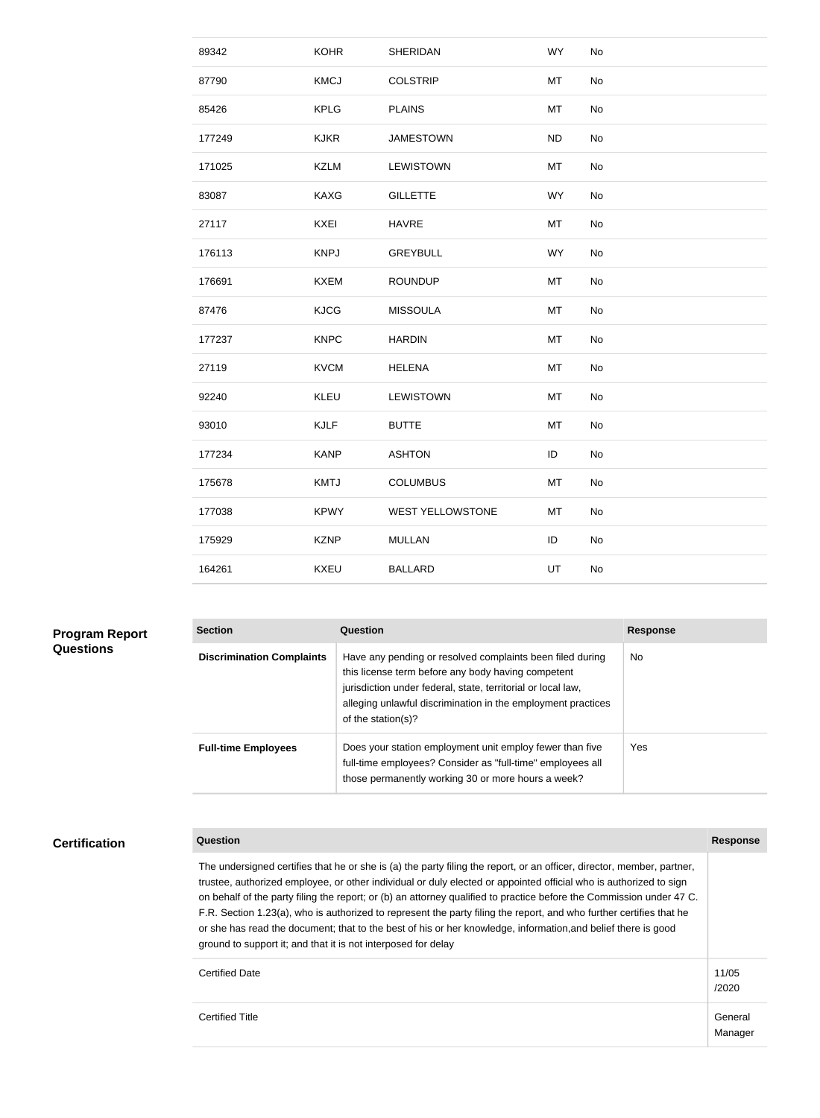| 89342  | <b>KOHR</b> | <b>SHERIDAN</b>         | <b>WY</b> | No |
|--------|-------------|-------------------------|-----------|----|
| 87790  | <b>KMCJ</b> | <b>COLSTRIP</b>         | MT        | No |
| 85426  | <b>KPLG</b> | <b>PLAINS</b>           | MT        | No |
| 177249 | <b>KJKR</b> | <b>JAMESTOWN</b>        | <b>ND</b> | No |
| 171025 | <b>KZLM</b> | <b>LEWISTOWN</b>        | MT        | No |
| 83087  | KAXG        | <b>GILLETTE</b>         | <b>WY</b> | No |
| 27117  | <b>KXEI</b> | <b>HAVRE</b>            | MT        | No |
| 176113 | <b>KNPJ</b> | <b>GREYBULL</b>         | <b>WY</b> | No |
| 176691 | <b>KXEM</b> | <b>ROUNDUP</b>          | MT        | No |
| 87476  | <b>KJCG</b> | <b>MISSOULA</b>         | MT        | No |
| 177237 | <b>KNPC</b> | <b>HARDIN</b>           | MT        | No |
| 27119  | <b>KVCM</b> | <b>HELENA</b>           | MT        | No |
| 92240  | KLEU        | LEWISTOWN               | MT        | No |
| 93010  | <b>KJLF</b> | <b>BUTTE</b>            | MT        | No |
| 177234 | <b>KANP</b> | <b>ASHTON</b>           | ID        | No |
| 175678 | <b>KMTJ</b> | <b>COLUMBUS</b>         | MT        | No |
| 177038 | <b>KPWY</b> | <b>WEST YELLOWSTONE</b> | MT        | No |
| 175929 | <b>KZNP</b> | <b>MULLAN</b>           | ID        | No |
| 164261 | <b>KXEU</b> | <b>BALLARD</b>          | UT        | No |
|        |             |                         |           |    |

| <b>Program Report</b><br><b>Questions</b> | <b>Section</b>                   | <b>Question</b>                                                                                                                                                                                                                                                       | <b>Response</b> |
|-------------------------------------------|----------------------------------|-----------------------------------------------------------------------------------------------------------------------------------------------------------------------------------------------------------------------------------------------------------------------|-----------------|
|                                           | <b>Discrimination Complaints</b> | Have any pending or resolved complaints been filed during<br>this license term before any body having competent<br>jurisdiction under federal, state, territorial or local law,<br>alleging unlawful discrimination in the employment practices<br>of the station(s)? | No.             |
|                                           | <b>Full-time Employees</b>       | Does your station employment unit employ fewer than five<br>full-time employees? Consider as "full-time" employees all<br>those permanently working 30 or more hours a week?                                                                                          | Yes.            |

**Certification**

**Question Response**

The undersigned certifies that he or she is (a) the party filing the report, or an officer, director, member, partner, trustee, authorized employee, or other individual or duly elected or appointed official who is authorized to sign on behalf of the party filing the report; or (b) an attorney qualified to practice before the Commission under 47 C. F.R. Section 1.23(a), who is authorized to represent the party filing the report, and who further certifies that he or she has read the document; that to the best of his or her knowledge, information,and belief there is good ground to support it; and that it is not interposed for delay

/2020

Manager

Certified Date 11/05

Certified Title General